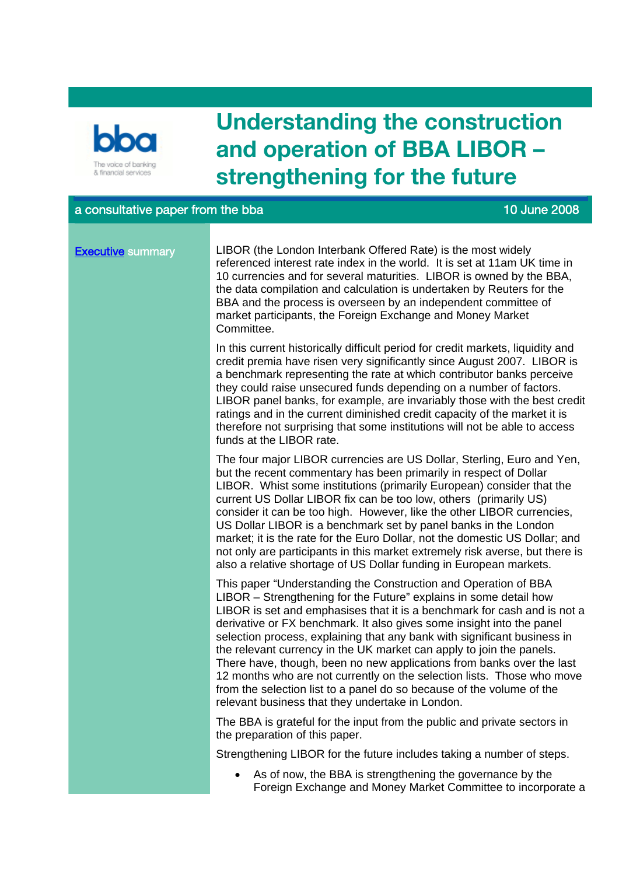

# **Understanding the construction and operation of BBA LIBOR – strengthening for the future**

# a consultative paper from the bba 10 June 2008 and the base of the state of the 10 June 2008

# **Executive** summary

LIBOR (the London Interbank Offered Rate) is the most widely referenced interest rate index in the world. It is set at 11am UK time in 10 currencies and for several maturities. LIBOR is owned by the BBA, the data compilation and calculation is undertaken by Reuters for the BBA and the process is overseen by an independent committee of market participants, the Foreign Exchange and Money Market Committee.

In this current historically difficult period for credit markets, liquidity and credit premia have risen very significantly since August 2007. LIBOR is a benchmark representing the rate at which contributor banks perceive they could raise unsecured funds depending on a number of factors. LIBOR panel banks, for example, are invariably those with the best credit ratings and in the current diminished credit capacity of the market it is therefore not surprising that some institutions will not be able to access funds at the LIBOR rate.

The four major LIBOR currencies are US Dollar, Sterling, Euro and Yen, but the recent commentary has been primarily in respect of Dollar LIBOR. Whist some institutions (primarily European) consider that the current US Dollar LIBOR fix can be too low, others (primarily US) consider it can be too high. However, like the other LIBOR currencies, US Dollar LIBOR is a benchmark set by panel banks in the London market; it is the rate for the Euro Dollar, not the domestic US Dollar; and not only are participants in this market extremely risk averse, but there is also a relative shortage of US Dollar funding in European markets.

This paper "Understanding the Construction and Operation of BBA LIBOR – Strengthening for the Future" explains in some detail how LIBOR is set and emphasises that it is a benchmark for cash and is not a derivative or FX benchmark. It also gives some insight into the panel selection process, explaining that any bank with significant business in the relevant currency in the UK market can apply to join the panels. There have, though, been no new applications from banks over the last 12 months who are not currently on the selection lists. Those who move from the selection list to a panel do so because of the volume of the relevant business that they undertake in London.

The BBA is grateful for the input from the public and private sectors in the preparation of this paper.

Strengthening LIBOR for the future includes taking a number of steps.

 As of now, the BBA is strengthening the governance by the Foreign Exchange and Money Market Committee to incorporate a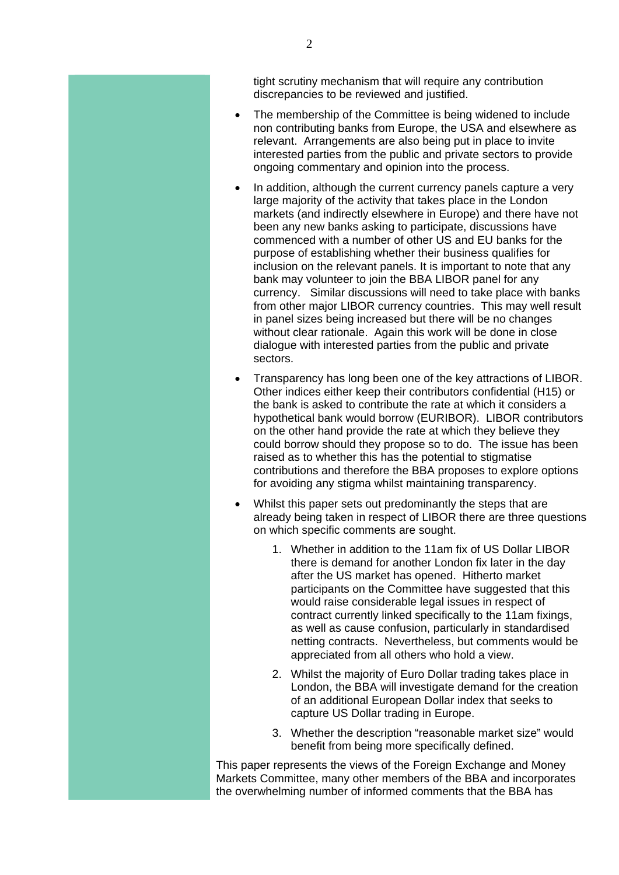tight scrutiny mechanism that will require any contribution discrepancies to be reviewed and justified.

- The membership of the Committee is being widened to include non contributing banks from Europe, the USA and elsewhere as relevant. Arrangements are also being put in place to invite interested parties from the public and private sectors to provide ongoing commentary and opinion into the process.
- In addition, although the current currency panels capture a very large majority of the activity that takes place in the London markets (and indirectly elsewhere in Europe) and there have not been any new banks asking to participate, discussions have commenced with a number of other US and EU banks for the purpose of establishing whether their business qualifies for inclusion on the relevant panels. It is important to note that any bank may volunteer to join the BBA LIBOR panel for any currency. Similar discussions will need to take place with banks from other major LIBOR currency countries. This may well result in panel sizes being increased but there will be no changes without clear rationale. Again this work will be done in close dialogue with interested parties from the public and private sectors.
- Transparency has long been one of the key attractions of LIBOR. Other indices either keep their contributors confidential (H15) or the bank is asked to contribute the rate at which it considers a hypothetical bank would borrow (EURIBOR). LIBOR contributors on the other hand provide the rate at which they believe they could borrow should they propose so to do. The issue has been raised as to whether this has the potential to stigmatise contributions and therefore the BBA proposes to explore options for avoiding any stigma whilst maintaining transparency.
- Whilst this paper sets out predominantly the steps that are already being taken in respect of LIBOR there are three questions on which specific comments are sought.
	- 1. Whether in addition to the 11am fix of US Dollar LIBOR there is demand for another London fix later in the day after the US market has opened. Hitherto market participants on the Committee have suggested that this would raise considerable legal issues in respect of contract currently linked specifically to the 11am fixings, as well as cause confusion, particularly in standardised netting contracts. Nevertheless, but comments would be appreciated from all others who hold a view.
	- 2. Whilst the majority of Euro Dollar trading takes place in London, the BBA will investigate demand for the creation of an additional European Dollar index that seeks to capture US Dollar trading in Europe.
	- 3. Whether the description "reasonable market size" would benefit from being more specifically defined.

This paper represents the views of the Foreign Exchange and Money Markets Committee, many other members of the BBA and incorporates the overwhelming number of informed comments that the BBA has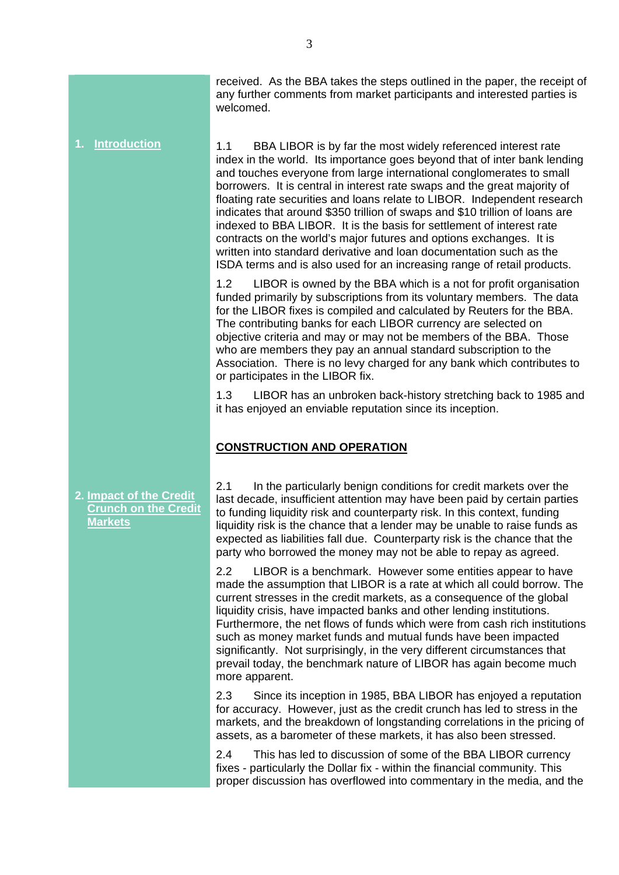received. As the BBA takes the steps outlined in the paper, the receipt of any further comments from market participants and interested parties is welcomed.

**1. Introduction**

**2. Impact of the Credit Crunch on the Credit** 

**Markets**

1.1 BBA LIBOR is by far the most widely referenced interest rate index in the world. Its importance goes beyond that of inter bank lending and touches everyone from large international conglomerates to small borrowers. It is central in interest rate swaps and the great majority of floating rate securities and loans relate to LIBOR. Independent research indicates that around \$350 trillion of swaps and \$10 trillion of loans are indexed to BBA LIBOR. It is the basis for settlement of interest rate contracts on the world's major futures and options exchanges. It is written into standard derivative and loan documentation such as the ISDA terms and is also used for an increasing range of retail products.

1.2 LIBOR is owned by the BBA which is a not for profit organisation funded primarily by subscriptions from its voluntary members. The data for the LIBOR fixes is compiled and calculated by Reuters for the BBA. The contributing banks for each LIBOR currency are selected on objective criteria and may or may not be members of the BBA. Those who are members they pay an annual standard subscription to the Association. There is no levy charged for any bank which contributes to or participates in the LIBOR fix.

1.3 LIBOR has an unbroken back-history stretching back to 1985 and it has enjoyed an enviable reputation since its inception.

# **CONSTRUCTION AND OPERATION**

2.1 In the particularly benign conditions for credit markets over the last decade, insufficient attention may have been paid by certain parties to funding liquidity risk and counterparty risk. In this context, funding liquidity risk is the chance that a lender may be unable to raise funds as expected as liabilities fall due. Counterparty risk is the chance that the party who borrowed the money may not be able to repay as agreed.

2.2 LIBOR is a benchmark. However some entities appear to have made the assumption that LIBOR is a rate at which all could borrow. The current stresses in the credit markets, as a consequence of the global liquidity crisis, have impacted banks and other lending institutions. Furthermore, the net flows of funds which were from cash rich institutions such as money market funds and mutual funds have been impacted significantly. Not surprisingly, in the very different circumstances that prevail today, the benchmark nature of LIBOR has again become much more apparent.

2.3 Since its inception in 1985, BBA LIBOR has enjoyed a reputation for accuracy. However, just as the credit crunch has led to stress in the markets, and the breakdown of longstanding correlations in the pricing of assets, as a barometer of these markets, it has also been stressed.

2.4 This has led to discussion of some of the BBA LIBOR currency fixes - particularly the Dollar fix - within the financial community. This proper discussion has overflowed into commentary in the media, and the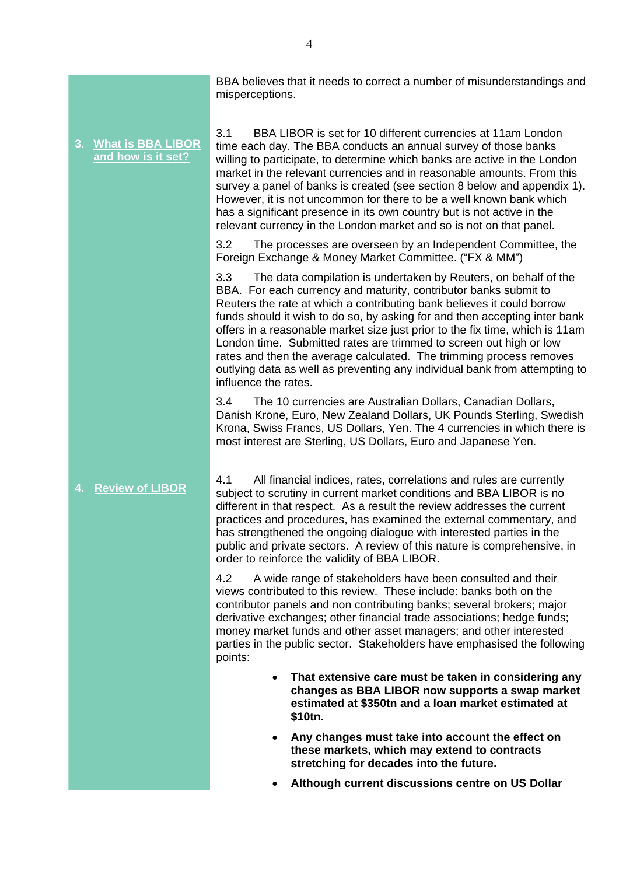**3. What is BBA LIBOR and how is it set? 4. Review of LIBOR** 3.1 BBA LIBOR is set for 10 different currencies at 11am London time each day. The BBA conducts an annual survey of those banks willing to participate, to determine which banks are active in the London market in the relevant currencies and in reasonable amounts. From this survey a panel of banks is created (see section 8 below and appendix 1). However, it is not uncommon for there to be a well known bank which has a significant presence in its own country but is not active in the relevant currency in the London market and so is not on that panel. 3.2 The processes are overseen by an Independent Committee, the Foreign Exchange & Money Market Committee. ("FX & MM") 3.3 The data compilation is undertaken by Reuters, on behalf of the BBA. For each currency and maturity, contributor banks submit to Reuters the rate at which a contributing bank believes it could borrow funds should it wish to do so, by asking for and then accepting inter bank offers in a reasonable market size just prior to the fix time, which is 11am London time. Submitted rates are trimmed to screen out high or low rates and then the average calculated. The trimming process removes outlying data as well as preventing any individual bank from attempting to influence the rates. 3.4 The 10 currencies are Australian Dollars, Canadian Dollars, Danish Krone, Euro, New Zealand Dollars, UK Pounds Sterling, Swedish Krona, Swiss Francs, US Dollars, Yen. The 4 currencies in which there is most interest are Sterling, US Dollars, Euro and Japanese Yen. 4.1 All financial indices, rates, correlations and rules are currently subject to scrutiny in current market conditions and BBA LIBOR is no different in that respect. As a result the review addresses the current practices and procedures, has examined the external commentary, and has strengthened the ongoing dialogue with interested parties in the public and private sectors. A review of this nature is comprehensive, in order to reinforce the validity of BBA LIBOR. 4.2 A wide range of stakeholders have been consulted and their views contributed to this review. These include: banks both on the contributor panels and non contributing banks; several brokers; major derivative exchanges; other financial trade associations; hedge funds; money market funds and other asset managers; and other interested parties in the public sector. Stakeholders have emphasised the following points: **That extensive care must be taken in considering any changes as BBA LIBOR now supports a swap market estimated at \$350tn and a loan market estimated at \$10tn. Any changes must take into account the effect on these markets, which may extend to contracts stretching for decades into the future.**

**Although current discussions centre on US Dollar** 

misperceptions.

BBA believes that it needs to correct a number of misunderstandings and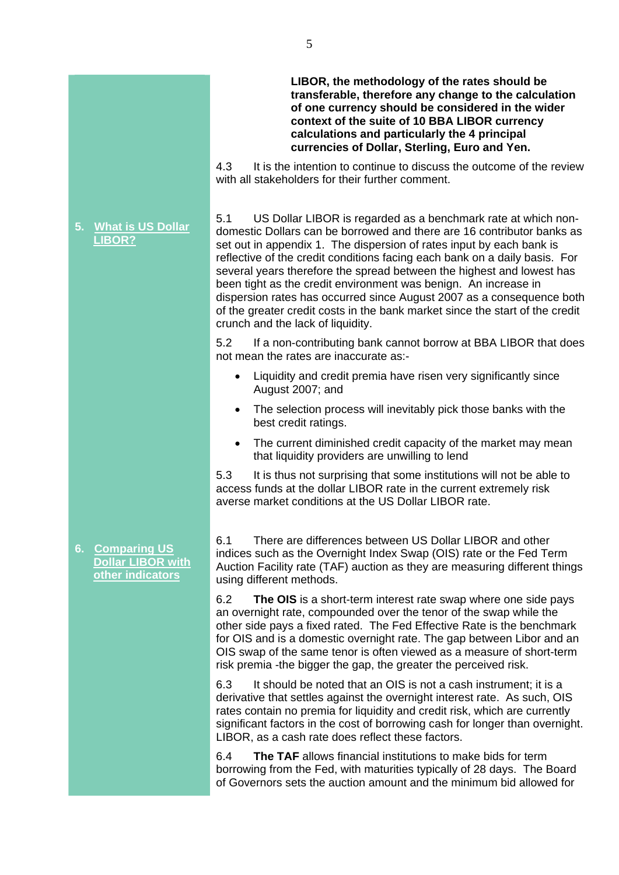5

# **LIBOR, the methodology of the rates should be transferable, therefore any change to the calculation of one currency should be considered in the wider context of the suite of 10 BBA LIBOR currency calculations and particularly the 4 principal currencies of Dollar, Sterling, Euro and Yen.**

4.3 It is the intention to continue to discuss the outcome of the review with all stakeholders for their further comment.

5.1 US Dollar LIBOR is regarded as a benchmark rate at which nondomestic Dollars can be borrowed and there are 16 contributor banks as set out in appendix 1. The dispersion of rates input by each bank is reflective of the credit conditions facing each bank on a daily basis. For several years therefore the spread between the highest and lowest has been tight as the credit environment was benign. An increase in dispersion rates has occurred since August 2007 as a consequence both of the greater credit costs in the bank market since the start of the credit crunch and the lack of liquidity.

5.2 If a non-contributing bank cannot borrow at BBA LIBOR that does not mean the rates are inaccurate as:-

- Liquidity and credit premia have risen very significantly since August 2007; and
- The selection process will inevitably pick those banks with the best credit ratings.
- The current diminished credit capacity of the market may mean that liquidity providers are unwilling to lend

5.3 It is thus not surprising that some institutions will not be able to access funds at the dollar LIBOR rate in the current extremely risk averse market conditions at the US Dollar LIBOR rate.

6.1 There are differences between US Dollar LIBOR and other indices such as the Overnight Index Swap (OIS) rate or the Fed Term Auction Facility rate (TAF) auction as they are measuring different things using different methods.

6.2 **The OIS** is a short-term interest rate swap where one side pays an overnight rate, compounded over the tenor of the swap while the other side pays a fixed rated. The Fed Effective Rate is the benchmark for OIS and is a domestic overnight rate. The gap between Libor and an OIS swap of the same tenor is often viewed as a measure of short-term risk premia -the bigger the gap, the greater the perceived risk.

6.3 It should be noted that an OIS is not a cash instrument; it is a derivative that settles against the overnight interest rate. As such, OIS rates contain no premia for liquidity and credit risk, which are currently significant factors in the cost of borrowing cash for longer than overnight. LIBOR, as a cash rate does reflect these factors.

6.4 **The TAF** allows financial institutions to make bids for term borrowing from the Fed, with maturities typically of 28 days. The Board of Governors sets the auction amount and the minimum bid allowed for

# **5. What is US Dollar LIBOR?**

**6. Comparing US Dollar LIBOR with other indicators**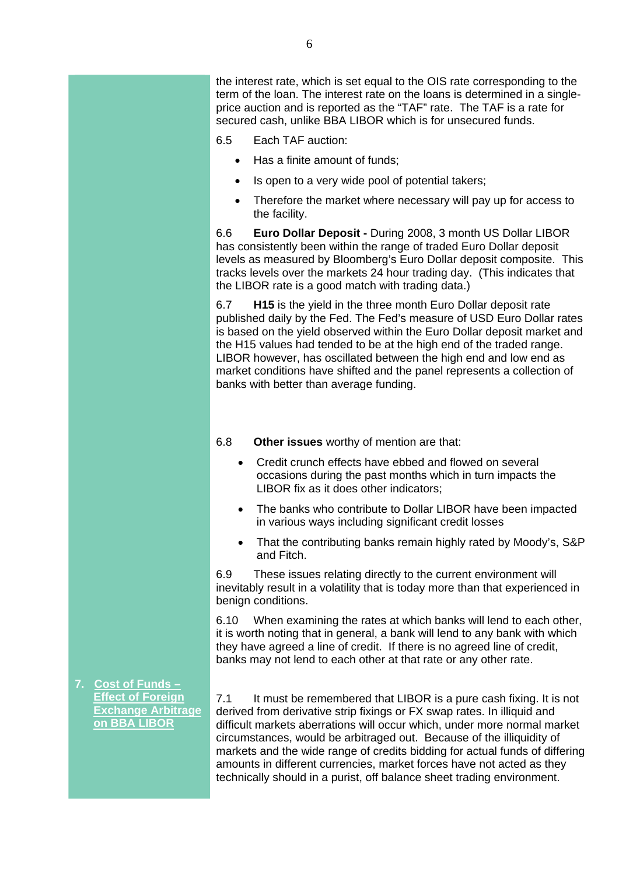the interest rate, which is set equal to the OIS rate corresponding to the term of the loan. The interest rate on the loans is determined in a singleprice auction and is reported as the "TAF" rate. The TAF is a rate for secured cash, unlike BBA LIBOR which is for unsecured funds.

- 6.5 Each TAF auction:
	- Has a finite amount of funds;
	- Is open to a very wide pool of potential takers;
	- Therefore the market where necessary will pay up for access to the facility.

6.6 **Euro Dollar Deposit -** During 2008, 3 month US Dollar LIBOR has consistently been within the range of traded Euro Dollar deposit levels as measured by Bloomberg's Euro Dollar deposit composite. This tracks levels over the markets 24 hour trading day. (This indicates that the LIBOR rate is a good match with trading data.)

6.7 **H15** is the yield in the three month Euro Dollar deposit rate published daily by the Fed. The Fed's measure of USD Euro Dollar rates is based on the yield observed within the Euro Dollar deposit market and the H15 values had tended to be at the high end of the traded range. LIBOR however, has oscillated between the high end and low end as market conditions have shifted and the panel represents a collection of banks with better than average funding.

6.8 **Other issues** worthy of mention are that:

- Credit crunch effects have ebbed and flowed on several occasions during the past months which in turn impacts the LIBOR fix as it does other indicators;
- The banks who contribute to Dollar LIBOR have been impacted in various ways including significant credit losses
- That the contributing banks remain highly rated by Moody's, S&P and Fitch.

6.9 These issues relating directly to the current environment will inevitably result in a volatility that is today more than that experienced in benign conditions.

6.10 When examining the rates at which banks will lend to each other, it is worth noting that in general, a bank will lend to any bank with which they have agreed a line of credit. If there is no agreed line of credit, banks may not lend to each other at that rate or any other rate.

7.1 It must be remembered that LIBOR is a pure cash fixing. It is not derived from derivative strip fixings or FX swap rates. In illiquid and difficult markets aberrations will occur which, under more normal market circumstances, would be arbitraged out. Because of the illiquidity of markets and the wide range of credits bidding for actual funds of differing amounts in different currencies, market forces have not acted as they technically should in a purist, off balance sheet trading environment.

**7. Cost of Funds – Effect of Foreign Exchange Arbitrage on BBA LIBOR**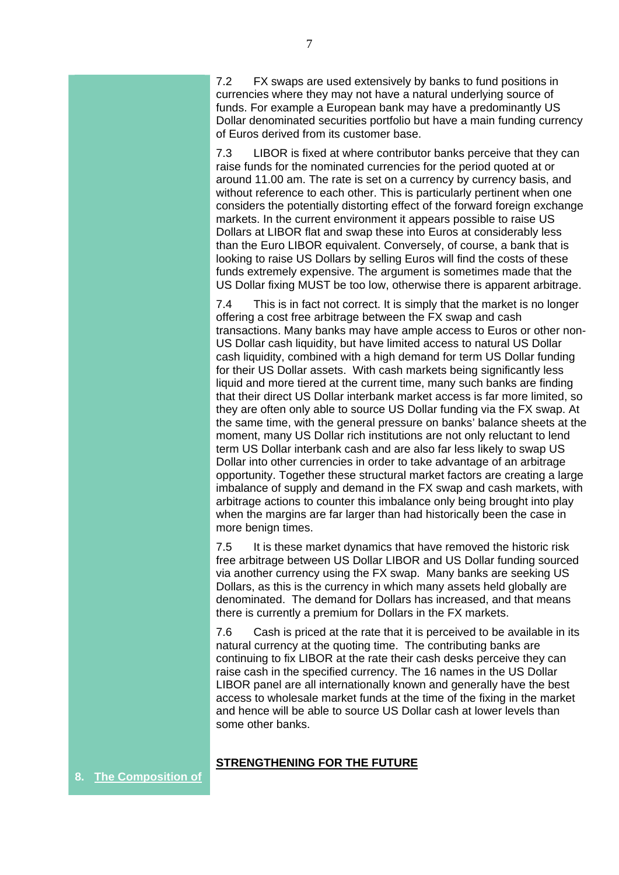7.2 FX swaps are used extensively by banks to fund positions in currencies where they may not have a natural underlying source of funds. For example a European bank may have a predominantly US Dollar denominated securities portfolio but have a main funding currency of Euros derived from its customer base.

7.3 LIBOR is fixed at where contributor banks perceive that they can raise funds for the nominated currencies for the period quoted at or around 11.00 am. The rate is set on a currency by currency basis, and without reference to each other. This is particularly pertinent when one considers the potentially distorting effect of the forward foreign exchange markets. In the current environment it appears possible to raise US Dollars at LIBOR flat and swap these into Euros at considerably less than the Euro LIBOR equivalent. Conversely, of course, a bank that is looking to raise US Dollars by selling Euros will find the costs of these funds extremely expensive. The argument is sometimes made that the US Dollar fixing MUST be too low, otherwise there is apparent arbitrage.

7.4 This is in fact not correct. It is simply that the market is no longer offering a cost free arbitrage between the FX swap and cash transactions. Many banks may have ample access to Euros or other non-US Dollar cash liquidity, but have limited access to natural US Dollar cash liquidity, combined with a high demand for term US Dollar funding for their US Dollar assets. With cash markets being significantly less liquid and more tiered at the current time, many such banks are finding that their direct US Dollar interbank market access is far more limited, so they are often only able to source US Dollar funding via the FX swap. At the same time, with the general pressure on banks' balance sheets at the moment, many US Dollar rich institutions are not only reluctant to lend term US Dollar interbank cash and are also far less likely to swap US Dollar into other currencies in order to take advantage of an arbitrage opportunity. Together these structural market factors are creating a large imbalance of supply and demand in the FX swap and cash markets, with arbitrage actions to counter this imbalance only being brought into play when the margins are far larger than had historically been the case in more benign times.

7.5 It is these market dynamics that have removed the historic risk free arbitrage between US Dollar LIBOR and US Dollar funding sourced via another currency using the FX swap. Many banks are seeking US Dollars, as this is the currency in which many assets held globally are denominated. The demand for Dollars has increased, and that means there is currently a premium for Dollars in the FX markets.

7.6 Cash is priced at the rate that it is perceived to be available in its natural currency at the quoting time. The contributing banks are continuing to fix LIBOR at the rate their cash desks perceive they can raise cash in the specified currency. The 16 names in the US Dollar LIBOR panel are all internationally known and generally have the best access to wholesale market funds at the time of the fixing in the market and hence will be able to source US Dollar cash at lower levels than some other banks.

# **STRENGTHENING FOR THE FUTURE**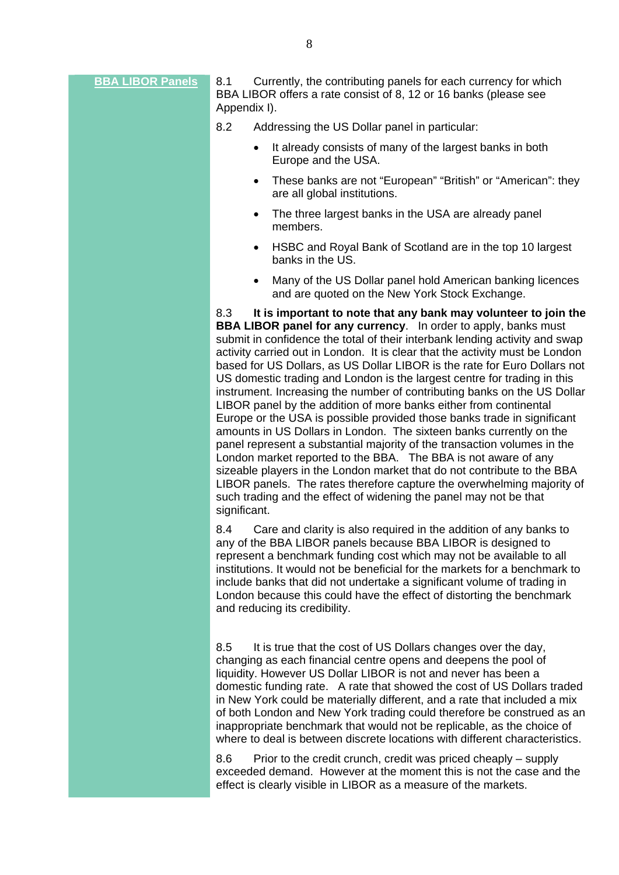**BBA LIBOR Panels** 8.1 Currently, the contributing panels for each currency for which BBA LIBOR offers a rate consist of 8, 12 or 16 banks (please see Appendix I).

- 8.2 Addressing the US Dollar panel in particular:
	- It already consists of many of the largest banks in both Europe and the USA.
	- These banks are not "European" "British" or "American": they are all global institutions.
	- The three largest banks in the USA are already panel members.
	- HSBC and Royal Bank of Scotland are in the top 10 largest banks in the US.
	- Many of the US Dollar panel hold American banking licences and are quoted on the New York Stock Exchange.

8.3 **It is important to note that any bank may volunteer to join the BBA LIBOR panel for any currency.** In order to apply, banks must submit in confidence the total of their interbank lending activity and swap activity carried out in London. It is clear that the activity must be London based for US Dollars, as US Dollar LIBOR is the rate for Euro Dollars not US domestic trading and London is the largest centre for trading in this instrument. Increasing the number of contributing banks on the US Dollar LIBOR panel by the addition of more banks either from continental Europe or the USA is possible provided those banks trade in significant amounts in US Dollars in London. The sixteen banks currently on the panel represent a substantial majority of the transaction volumes in the London market reported to the BBA. The BBA is not aware of any sizeable players in the London market that do not contribute to the BBA LIBOR panels. The rates therefore capture the overwhelming majority of such trading and the effect of widening the panel may not be that significant.

8.4 Care and clarity is also required in the addition of any banks to any of the BBA LIBOR panels because BBA LIBOR is designed to represent a benchmark funding cost which may not be available to all institutions. It would not be beneficial for the markets for a benchmark to include banks that did not undertake a significant volume of trading in London because this could have the effect of distorting the benchmark and reducing its credibility.

8.5 It is true that the cost of US Dollars changes over the day, changing as each financial centre opens and deepens the pool of liquidity. However US Dollar LIBOR is not and never has been a domestic funding rate. A rate that showed the cost of US Dollars traded in New York could be materially different, and a rate that included a mix of both London and New York trading could therefore be construed as an inappropriate benchmark that would not be replicable, as the choice of where to deal is between discrete locations with different characteristics.

8.6 Prior to the credit crunch, credit was priced cheaply – supply exceeded demand. However at the moment this is not the case and the effect is clearly visible in LIBOR as a measure of the markets.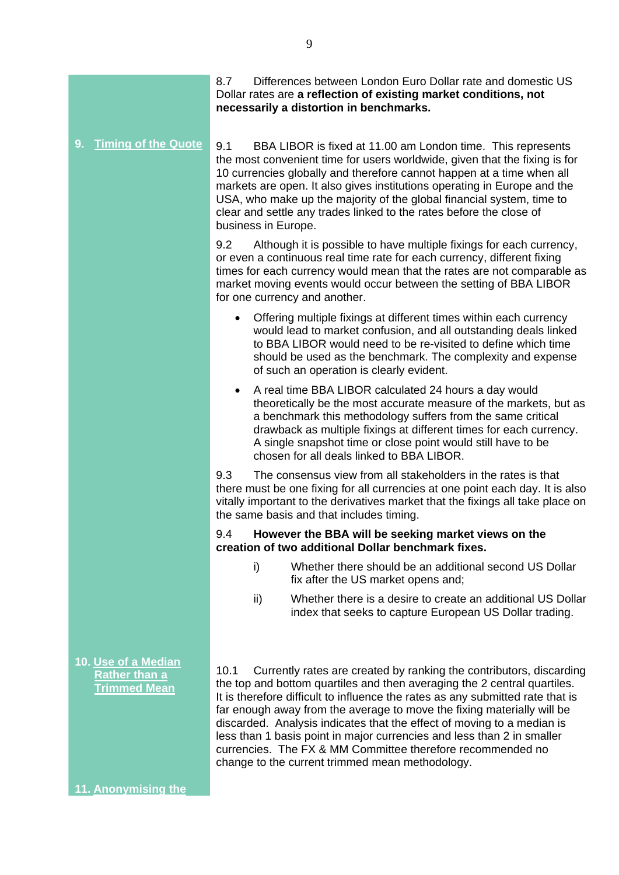8.7 Differences between London Euro Dollar rate and domestic US Dollar rates are **a reflection of existing market conditions, not necessarily a distortion in benchmarks.** 

**9. Timing of the Quote**

9.1 BBA LIBOR is fixed at 11.00 am London time. This represents the most convenient time for users worldwide, given that the fixing is for 10 currencies globally and therefore cannot happen at a time when all markets are open. It also gives institutions operating in Europe and the USA, who make up the majority of the global financial system, time to clear and settle any trades linked to the rates before the close of business in Europe.

9.2 Although it is possible to have multiple fixings for each currency, or even a continuous real time rate for each currency, different fixing times for each currency would mean that the rates are not comparable as market moving events would occur between the setting of BBA LIBOR for one currency and another.

- Offering multiple fixings at different times within each currency would lead to market confusion, and all outstanding deals linked to BBA LIBOR would need to be re-visited to define which time should be used as the benchmark. The complexity and expense of such an operation is clearly evident.
- A real time BBA LIBOR calculated 24 hours a day would theoretically be the most accurate measure of the markets, but as a benchmark this methodology suffers from the same critical drawback as multiple fixings at different times for each currency. A single snapshot time or close point would still have to be chosen for all deals linked to BBA LIBOR.

9.3 The consensus view from all stakeholders in the rates is that there must be one fixing for all currencies at one point each day. It is also vitally important to the derivatives market that the fixings all take place on the same basis and that includes timing.

# 9.4 **However the BBA will be seeking market views on the creation of two additional Dollar benchmark fixes.**

- i) Whether there should be an additional second US Dollar fix after the US market opens and;
- ii) Whether there is a desire to create an additional US Dollar index that seeks to capture European US Dollar trading.

10.1 Currently rates are created by ranking the contributors, discarding the top and bottom quartiles and then averaging the 2 central quartiles. It is therefore difficult to influence the rates as any submitted rate that is far enough away from the average to move the fixing materially will be discarded. Analysis indicates that the effect of moving to a median is less than 1 basis point in major currencies and less than 2 in smaller currencies. The FX & MM Committee therefore recommended no change to the current trimmed mean methodology.

**10. Use of a Median Rather than a Trimmed Mean**

**11. Anonymising the**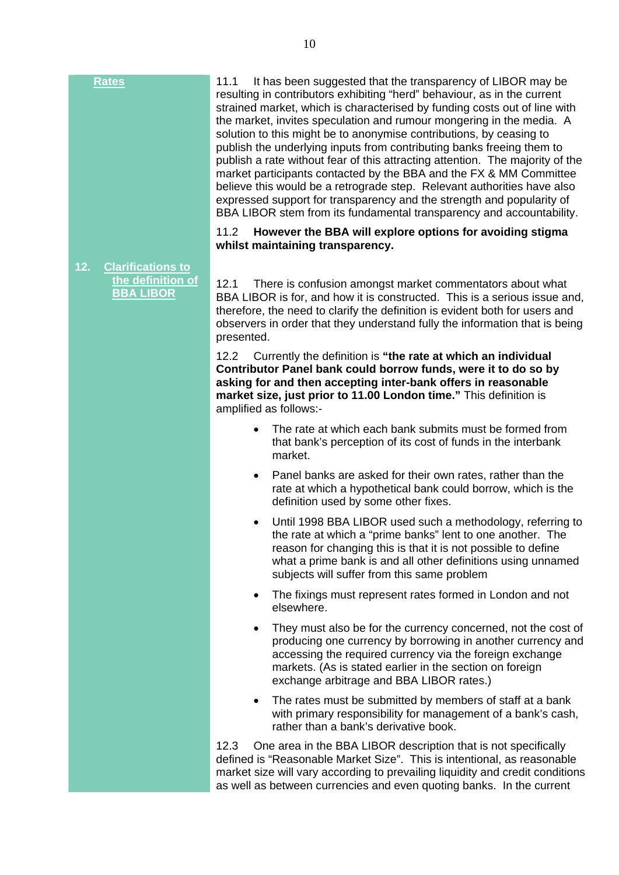11.1 It has been suggested that the transparency of LIBOR may be resulting in contributors exhibiting "herd" behaviour, as in the current strained market, which is characterised by funding costs out of line with the market, invites speculation and rumour mongering in the media. A solution to this might be to anonymise contributions, by ceasing to publish the underlying inputs from contributing banks freeing them to publish a rate without fear of this attracting attention. The majority of the market participants contacted by the BBA and the FX & MM Committee believe this would be a retrograde step. Relevant authorities have also expressed support for transparency and the strength and popularity of BBA LIBOR stem from its fundamental transparency and accountability.

#### 11.2 **However the BBA will explore options for avoiding stigma whilst maintaining transparency.**

**12. Clarifications to the definition of BBA LIBOR**

12.1 There is confusion amongst market commentators about what BBA LIBOR is for, and how it is constructed. This is a serious issue and, therefore, the need to clarify the definition is evident both for users and observers in order that they understand fully the information that is being presented.

12.2 Currently the definition is **"the rate at which an individual Contributor Panel bank could borrow funds, were it to do so by asking for and then accepting inter-bank offers in reasonable market size, just prior to 11.00 London time."** This definition is amplified as follows:-

- The rate at which each bank submits must be formed from that bank's perception of its cost of funds in the interbank market.
- Panel banks are asked for their own rates, rather than the rate at which a hypothetical bank could borrow, which is the definition used by some other fixes.
- Until 1998 BBA LIBOR used such a methodology, referring to the rate at which a "prime banks" lent to one another. The reason for changing this is that it is not possible to define what a prime bank is and all other definitions using unnamed subjects will suffer from this same problem
- The fixings must represent rates formed in London and not elsewhere.
- They must also be for the currency concerned, not the cost of producing one currency by borrowing in another currency and accessing the required currency via the foreign exchange markets. (As is stated earlier in the section on foreign exchange arbitrage and BBA LIBOR rates.)
- The rates must be submitted by members of staff at a bank with primary responsibility for management of a bank's cash, rather than a bank's derivative book.

12.3 One area in the BBA LIBOR description that is not specifically defined is "Reasonable Market Size". This is intentional, as reasonable market size will vary according to prevailing liquidity and credit conditions as well as between currencies and even quoting banks. In the current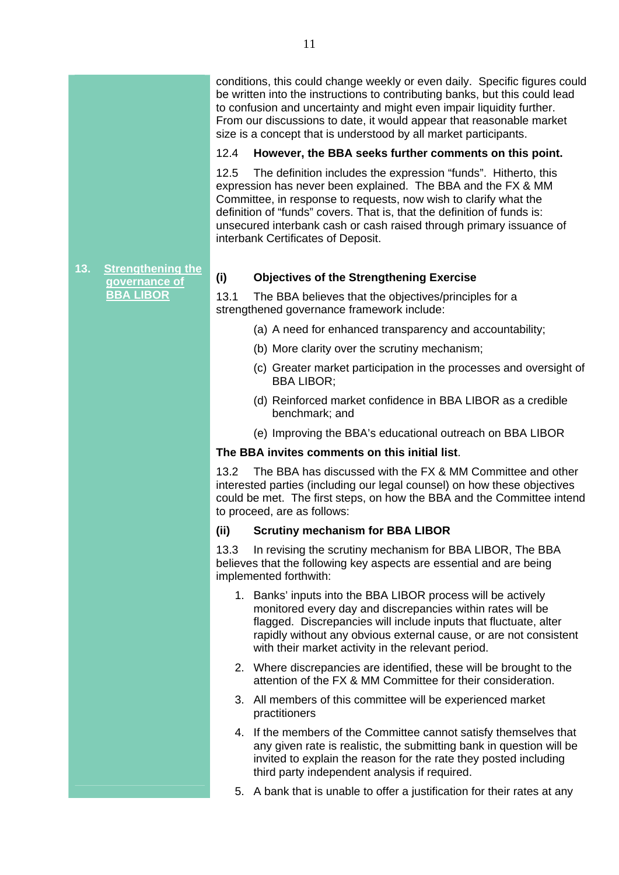conditions, this could change weekly or even daily. Specific figures could be written into the instructions to contributing banks, but this could lead to confusion and uncertainty and might even impair liquidity further. From our discussions to date, it would appear that reasonable market size is a concept that is understood by all market participants.

# 12.4 **However, the BBA seeks further comments on this point.**

12.5 The definition includes the expression "funds". Hitherto, this expression has never been explained. The BBA and the FX & MM Committee, in response to requests, now wish to clarify what the definition of "funds" covers. That is, that the definition of funds is: unsecured interbank cash or cash raised through primary issuance of interbank Certificates of Deposit.

#### **13. Strengthening the governance of BBA LIBOR**

# **(i) Objectives of the Strengthening Exercise**

13.1 The BBA believes that the objectives/principles for a strengthened governance framework include:

- (a) A need for enhanced transparency and accountability;
- (b) More clarity over the scrutiny mechanism;
- (c) Greater market participation in the processes and oversight of BBA LIBOR;
- (d) Reinforced market confidence in BBA LIBOR as a credible benchmark; and
- (e) Improving the BBA's educational outreach on BBA LIBOR

# **The BBA invites comments on this initial list**.

13.2 The BBA has discussed with the FX & MM Committee and other interested parties (including our legal counsel) on how these objectives could be met. The first steps, on how the BBA and the Committee intend to proceed, are as follows:

#### **(ii) Scrutiny mechanism for BBA LIBOR**

13.3 In revising the scrutiny mechanism for BBA LIBOR, The BBA believes that the following key aspects are essential and are being implemented forthwith:

- 1. Banks' inputs into the BBA LIBOR process will be actively monitored every day and discrepancies within rates will be flagged. Discrepancies will include inputs that fluctuate, alter rapidly without any obvious external cause, or are not consistent with their market activity in the relevant period.
- 2. Where discrepancies are identified, these will be brought to the attention of the FX & MM Committee for their consideration.
- 3. All members of this committee will be experienced market practitioners
- 4. If the members of the Committee cannot satisfy themselves that any given rate is realistic, the submitting bank in question will be invited to explain the reason for the rate they posted including third party independent analysis if required.
- 5. A bank that is unable to offer a justification for their rates at any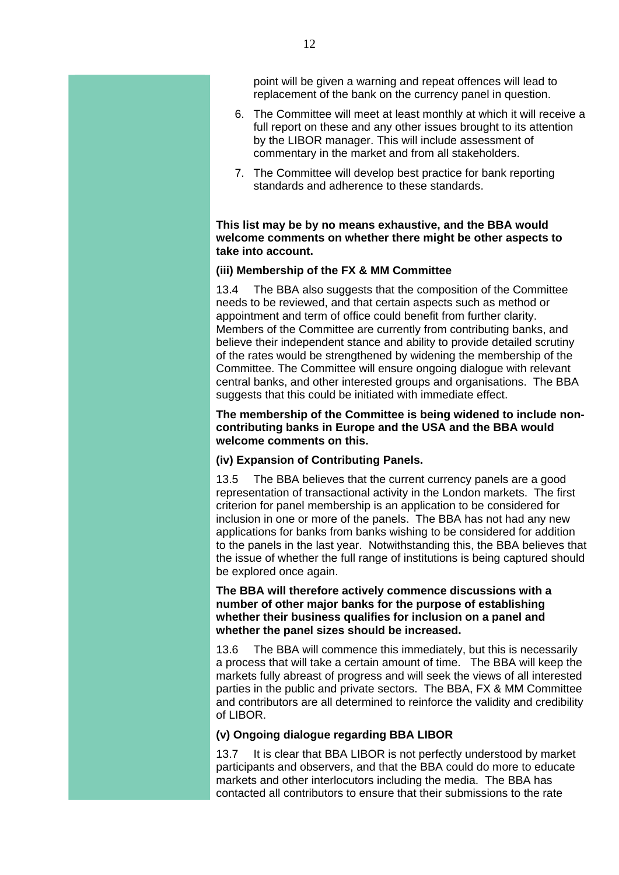point will be given a warning and repeat offences will lead to replacement of the bank on the currency panel in question.

- 6. The Committee will meet at least monthly at which it will receive a full report on these and any other issues brought to its attention by the LIBOR manager. This will include assessment of commentary in the market and from all stakeholders.
- 7. The Committee will develop best practice for bank reporting standards and adherence to these standards.

#### **This list may be by no means exhaustive, and the BBA would welcome comments on whether there might be other aspects to take into account.**

#### **(iii) Membership of the FX & MM Committee**

13.4 The BBA also suggests that the composition of the Committee needs to be reviewed, and that certain aspects such as method or appointment and term of office could benefit from further clarity. Members of the Committee are currently from contributing banks, and believe their independent stance and ability to provide detailed scrutiny of the rates would be strengthened by widening the membership of the Committee. The Committee will ensure ongoing dialogue with relevant central banks, and other interested groups and organisations. The BBA suggests that this could be initiated with immediate effect.

#### **The membership of the Committee is being widened to include noncontributing banks in Europe and the USA and the BBA would welcome comments on this.**

#### **(iv) Expansion of Contributing Panels.**

13.5 The BBA believes that the current currency panels are a good representation of transactional activity in the London markets. The first criterion for panel membership is an application to be considered for inclusion in one or more of the panels. The BBA has not had any new applications for banks from banks wishing to be considered for addition to the panels in the last year. Notwithstanding this, the BBA believes that the issue of whether the full range of institutions is being captured should be explored once again.

**The BBA will therefore actively commence discussions with a number of other major banks for the purpose of establishing whether their business qualifies for inclusion on a panel and whether the panel sizes should be increased.**

13.6 The BBA will commence this immediately, but this is necessarily a process that will take a certain amount of time. The BBA will keep the markets fully abreast of progress and will seek the views of all interested parties in the public and private sectors. The BBA, FX & MM Committee and contributors are all determined to reinforce the validity and credibility of LIBOR.

#### **(v) Ongoing dialogue regarding BBA LIBOR**

13.7 It is clear that BBA LIBOR is not perfectly understood by market participants and observers, and that the BBA could do more to educate markets and other interlocutors including the media. The BBA has contacted all contributors to ensure that their submissions to the rate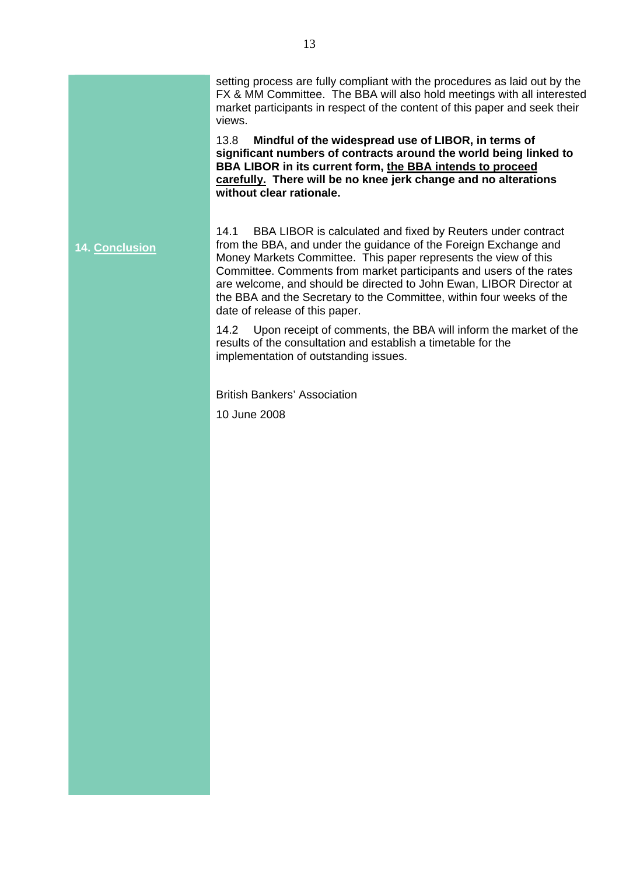setting process are fully compliant with the procedures as laid out by the FX & MM Committee. The BBA will also hold meetings with all interested market participants in respect of the content of this paper and seek their views.

13.8 **Mindful of the widespread use of LIBOR, in terms of significant numbers of contracts around the world being linked to BBA LIBOR in its current form, the BBA intends to proceed carefully. There will be no knee jerk change and no alterations without clear rationale.** 

**14. Conclusion** 14.1 BBA LIBOR is calculated and fixed by Reuters under contract from the BBA, and under the guidance of the Foreign Exchange and Money Markets Committee. This paper represents the view of this Committee. Comments from market participants and users of the rates are welcome, and should be directed to John Ewan, LIBOR Director at the BBA and the Secretary to the Committee, within four weeks of the date of release of this paper.

> 14.2 Upon receipt of comments, the BBA will inform the market of the results of the consultation and establish a timetable for the implementation of outstanding issues.

British Bankers' Association

10 June 2008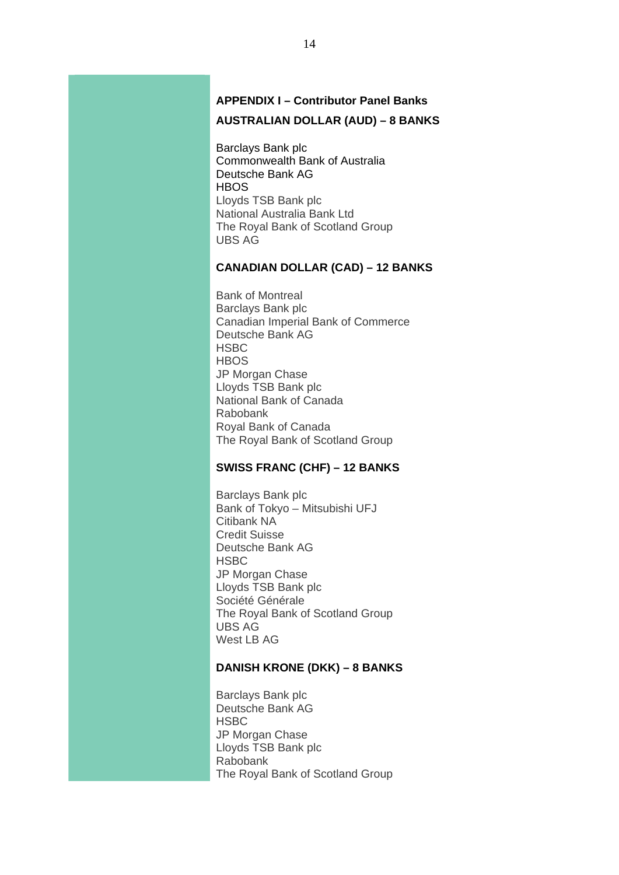# **APPENDIX I – Contributor Panel Banks AUSTRALIAN DOLLAR (AUD) – 8 BANKS**

Barclays Bank plc Commonwealth Bank of Australia Deutsche Bank AG **HBOS** Lloyds TSB Bank plc National Australia Bank Ltd The Royal Bank of Scotland Group UBS AG

# **CANADIAN DOLLAR (CAD) – 12 BANKS**

Bank of Montreal Barclays Bank plc Canadian Imperial Bank of Commerce Deutsche Bank AG **HSBC HBOS** JP Morgan Chase Lloyds TSB Bank plc National Bank of Canada Rabobank Royal Bank of Canada The Royal Bank of Scotland Group

# **SWISS FRANC (CHF) – 12 BANKS**

Barclays Bank plc Bank of Tokyo – Mitsubishi UFJ Citibank NA Credit Suisse Deutsche Bank AG **HSBC** JP Morgan Chase Lloyds TSB Bank plc Société Générale The Royal Bank of Scotland Group UBS AG West LB AG

#### **DANISH KRONE (DKK) – 8 BANKS**

Barclays Bank plc Deutsche Bank AG **HSBC** JP Morgan Chase Lloyds TSB Bank plc Rabobank The Royal Bank of Scotland Group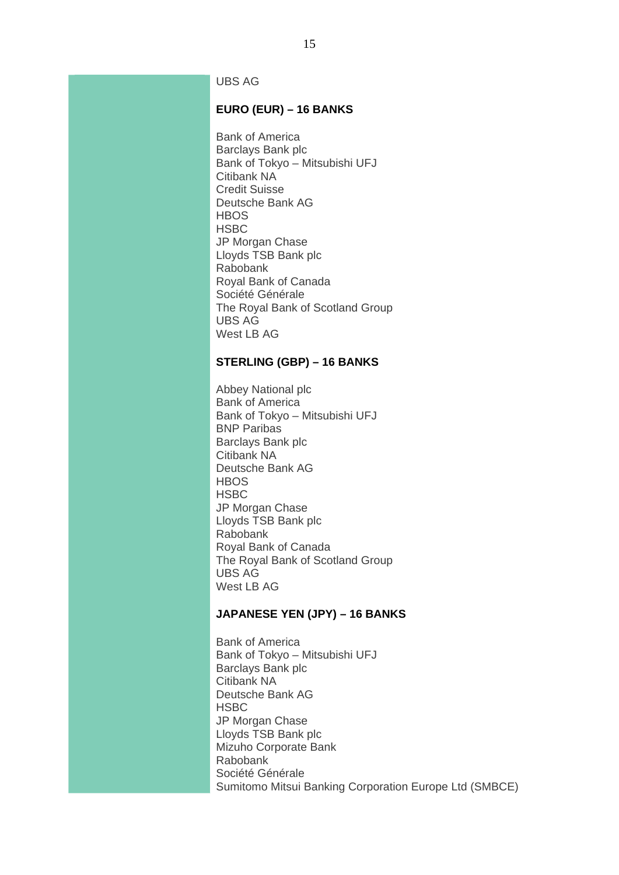UBS AG

# **EURO (EUR) – 16 BANKS**

Bank of America Barclays Bank plc Bank of Tokyo – Mitsubishi UFJ Citibank NA Credit Suisse Deutsche Bank AG **HBOS HSBC** JP Morgan Chase Lloyds TSB Bank plc Rabobank Royal Bank of Canada Société Générale The Royal Bank of Scotland Group UBS AG West LB AG

#### **STERLING (GBP) – 16 BANKS**

Abbey National plc Bank of America Bank of Tokyo – Mitsubishi UFJ BNP Paribas Barclays Bank plc Citibank NA Deutsche Bank AG **HBOS HSBC** JP Morgan Chase Lloyds TSB Bank plc Rabobank Royal Bank of Canada The Royal Bank of Scotland Group UBS AG West LB AG

#### **JAPANESE YEN (JPY) – 16 BANKS**

Bank of America Bank of Tokyo – Mitsubishi UFJ Barclays Bank plc Citibank NA Deutsche Bank AG **HSBC** JP Morgan Chase Lloyds TSB Bank plc Mizuho Corporate Bank Rabobank Société Générale Sumitomo Mitsui Banking Corporation Europe Ltd (SMBCE)